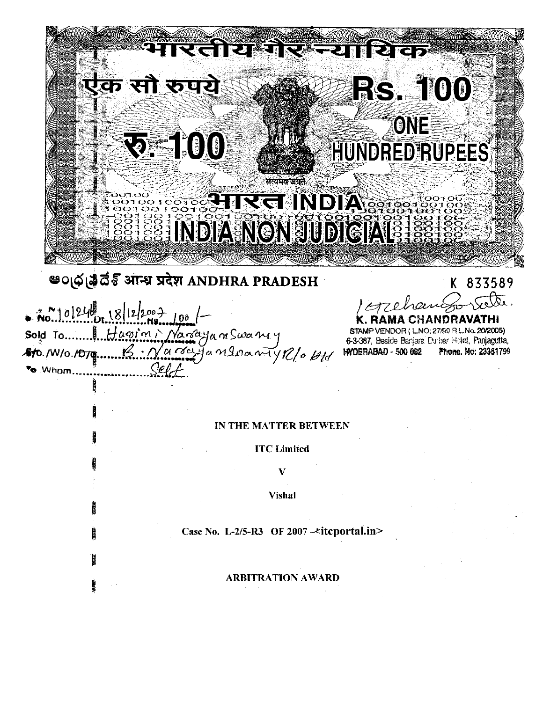रताया RACO  $\boxed{v}$  is **RAKES** .<br>क सौ रूपये **RS. 100** ONE **RE100** HUNDRED RUPEES सत्ययेव जयर REINDIA STOS **SEE INDIA NON JUDIGIALE** 

# అంధ్ర కి వేశ్ మాళ్లు चरेश ANDHRA PRADESH

No. 10/24 18/12/2007  $10<sub>0</sub>$  $Haq/m$ Nangyam Swaniy Sold To. ..............<br>.................. arriganloanty R/0 Ald 810. /W/o. /D/g To Whom.

K 833589

OR (LNO; 27/59 R.L.No. 20/2005) 6-3-387, Beside Banjara Durbar Hotel, Panjagutta, HYDERABAD - 500 062 Phone, No: 23351799

# IN THE MATTER BETWEEN

**ITC** Limited

V

**Vishal** 

Case No. L-2/5-R3 OF 2007- $\prec$ itcportal.in>

**ARBITRATION AWARD**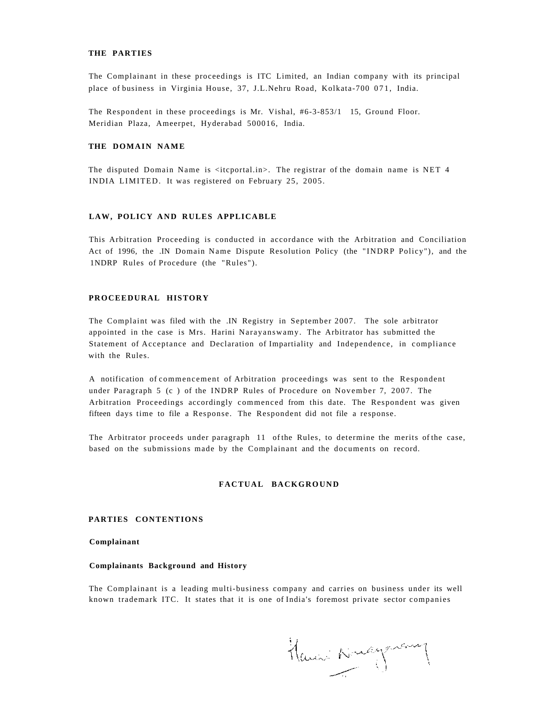#### **THE PARTIES**

The Complainant in these proceedings is ITC Limited, an Indian company with its principal place of business in Virginia House, 37, J.L.Nehru Road, Kolkata-700 071, India.

The Respondent in these proceedings is Mr. Vishal, #6-3-853/1 15, Ground Floor. Meridian Plaza, Ameerpet, Hyderabad 500016, India.

## **THE DOMAIN NAME**

The disputed Domain Name is <itcportal.in>. The registrar of the domain name is NET 4 INDIA LIMITED. It was registered on February 25, 2005.

## **LAW, POLICY AND RULES APPLICABLE**

This Arbitration Proceeding is conducted in accordance with the Arbitration and Conciliation Act of 1996, the .IN Domain Name Dispute Resolution Policy (the "INDRP Policy"), and the 1NDRP Rules of Procedure (the "Rules").

## **PROCEEDURAL HISTORY**

The Complaint was filed with the .IN Registry in September 2007. The sole arbitrator appointed in the case is Mrs. Harini Narayanswamy. The Arbitrator has submitted the Statement of Acceptance and Declaration of Impartiality and Independence, in compliance with the Rules.

A notification of commencement of Arbitration proceedings was sent to the Respondent under Paragraph 5 (c ) of the INDRP Rules of Procedure on November 7, 2007. The Arbitration Proceedings accordingly commenced from this date. The Respondent was given fifteen days time to file a Response. The Respondent did not file a response.

The Arbitrator proceeds under paragraph 11 of the Rules, to determine the merits of the case, based on the submissions made by the Complainant and the documents on record.

## **FACTUAL BACKGROUND**

#### **PARTIES CONTENTIONS**

**Complainant** 

#### **Complainants Background and History**

The Complainant is a leading multi-business company and carries on business under its well known trademark ITC. It states that it is one of India's foremost private sector companies

Ham Nuaguary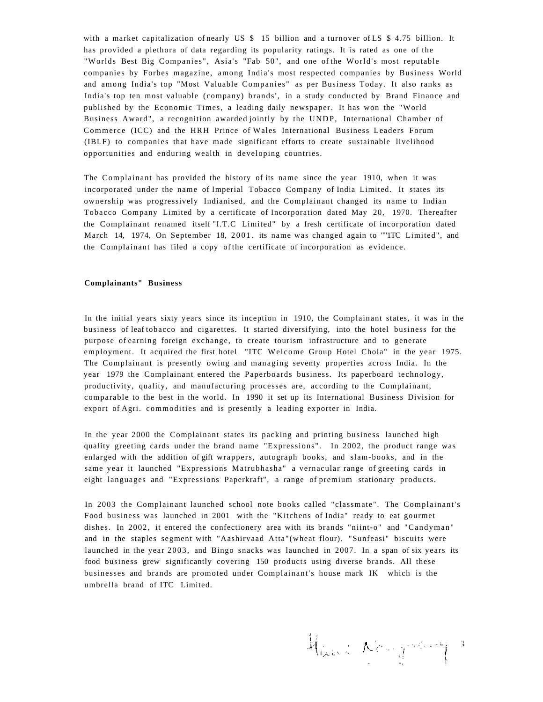with a market capitalization of nearly US \$ 15 billion and a turnover of LS \$ 4.75 billion. It has provided a plethora of data regarding its popularity ratings. It is rated as one of the "Worlds Best Big Companies", Asia's "Fab 50", and one of the World's most reputable companies by Forbes magazine, among India's most respected companies by Business World and among India's top "Most Valuable Companies " as per Business Today. It also ranks as India's top ten most valuable (company) brands', in a study conducted by Brand Finance and published by the Economic Times, a leading daily newspaper. It has won the "World Business Award", a recognition awarded jointly by the UNDP, International Chamber of Commerce (ICC) and the HRH Prince of Wales International Business Leaders Forum (IBLF) to companies that have made significant efforts to create sustainable livelihood opportunities and enduring wealth in developing countries.

The Complainant has provided the history of its name since the year 1910, when it was incorporated under the name of Imperial Tobacco Company of India Limited. It states its ownership was progressively Indianised, and the Complainant changed its name to Indian Tobacco Company Limited by a certificate of Incorporation dated May 20, 1970. Thereafter the Complainant renamed itself "I.T.C Limited" by a fresh certificate of incorporation dated March 14, 1974, On September 18, 2001. its name was changed again to ""ITC Limited", and the Complainant has filed a copy of the certificate of incorporation as evidence.

## **Complainants" Business**

In the initial years sixty years since its inception in 1910, the Complainant states, it was in the business of leaf tobacco and cigarettes. It started diversifying, into the hotel business for the purpose of earning foreign exchange, to create tourism infrastructure and to generate employment. It acquired the first hotel "ITC Welcome Group Hotel Chola" in the year 1975. The Complainant is presently owing and managing seventy properties across India. In the year 1979 the Complainant entered the Paperboards business. Its paperboard technology, productivity, quality, and manufacturing processes are, according to the Complainant, comparable to the best in the world. In 1990 it set up its International Business Division for export of Agri. commodities and is presently a leading exporter in India.

In the year 2000 the Complainant states its packing and printing business launched high quality greeting cards under the brand name "Expressions". In 2002, the product range was enlarged with the addition of gift wrappers, autograph books, and slam-books, and in the same year it launched "Expressions Matrubhasha" a vernacular range of greeting cards in eight languages and "Expressions Paperkraft", a range of premium stationary products.

In 2003 the Complainant launched school note books called "classmate". The Complainant's Food business was launched in 2001 with the "Kitchens of India" ready to eat gourmet dishes. In 2002, it entered the confectionery area with its brands "niint-o" and "Candyman" and in the staples segment with "Aashirvaad Atta"(wheat flour). "Sunfeasi" biscuits were launched in the year 2003, and Bingo snacks was launched in 2007. In a span of six years its food business grew significantly covering 150 products using diverse brands. All these businesses and brands are promoted under Complainant's house mark IK which is the umbrella brand of ITC Limited.

Haus Newgastery 3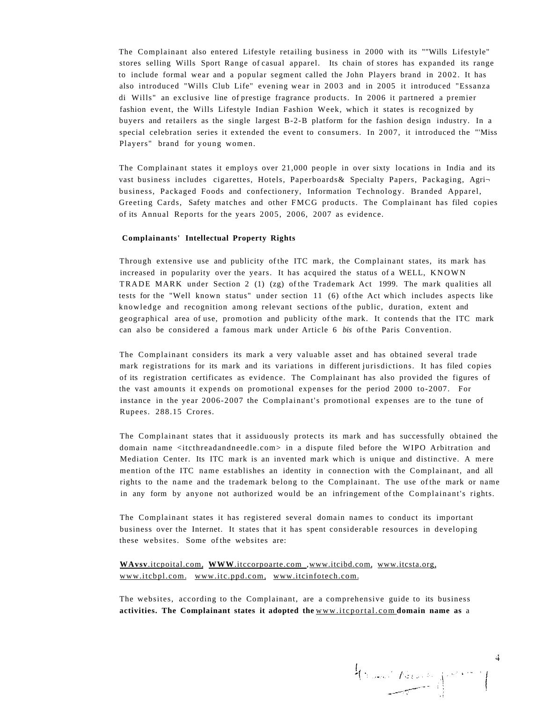The Complainant also entered Lifestyle retailing business in 2000 with its ""Wills Lifestyle" stores selling Wills Sport Range of casual apparel. Its chain of stores has expanded its range to include formal wear and a popular segment called the John Players brand in 2002 . It has also introduced "Wills Club Life" evening wear in 2003 and in 2005 it introduced "Essanza di Wills" an exclusive line of prestige fragrance products. In 2006 it partnered a premier fashion event, the Wills Lifestyle Indian Fashion Week, which it states is recognized by buyers and retailers as the single largest B-2-B platform for the fashion design industry. In a special celebration series it extended the event to consumers. In 2007, it introduced the "'Miss Players" brand for young women.

The Complainant states it employs over 21,000 people in over sixty locations in India and its vast business includes cigarettes, Hotels, Paperboards& Specialty Papers, Packaging, Agri business, Packaged Foods and confectionery, Information Technology. Branded Apparel, Greeting Cards, Safety matches and other FMCG products. The Complainant has filed copies of its Annual Reports for the years 2005, 2006, 2007 as evidence.

## **Complainants' Intellectual Property Rights**

Through extensive use and publicity of the ITC mark, the Complainant states, its mark has increased in popularity over the years. It has acquired the status of a WELL, KNOWN TRADE MARK under Section 2 (1) (zg) of the Trademark Act 1999. The mark qualities all tests for the "Well known status" under section 11 (6) of the Act which includes aspects like knowledge and recognition among relevant sections of the public, duration, extent and geographical area of use, promotion and publicity of the mark. It contends that the ITC mark can also be considered a famous mark under Article 6 *bis* of the Paris Convention.

The Complainant considers its mark a very valuable asset and has obtained several trade mark registrations for its mark and its variations in different jurisdictions. It has filed copies of its registration certificates as evidence. The Complainant has also provided the figures of the vast amounts it expends on promotional expenses for the period 2000 to-2007. For instance in the year 2006-2007 the Complainant's promotional expenses are to the tune of Rupees. 288.15 Crores.

The Complainant states that it assiduously protects its mark and has successfully obtained the domain name <itcthreadandneedle.com> in a dispute filed before the WIPO Arbitration and Mediation Center. Its ITC mark is an invented mark which is unique and distinctive. A mere mention of the ITC name establishes an identity in connection with the Complainant, and all rights to the name and the trademark belong to the Complainant. The use of the mark or name in any form by anyone not authorized would be an infringement of the Complainant's rights.

The Complainant states it has registered several domain names to conduct its important business over the Internet. It states that it has spent considerable resources in developing these websites. Some of the websites are:

# **WAvsv**[.itcpoital.com,](http://WAvsv.itcpoital.com) **WWW**[.itccorpoarte.com ,](http://WAVAv.itccorpoarte.com)[www.itcibd.com,](http://wwAV.itcibd.com) [www.itcsta.org,](http://www.itcsta.org) [www.itcbpl.com.](http://www.itcbpl.com) [www.itc.ppd.com,](http://www.itc.ppd.com) [www.itcinfotech.com.](http://www.itcinfotech.com)

The websites, according to the Complainant, are a comprehensive guide to its business **activities. The Complainant states it adopted the** [www.itcportal.com](http://wwAv.iteportal.com) **domain name as** a

 $\frac{1}{\sqrt{2\pi}}\int_{\mathbb{R}^{3}}\int_{\mathbb{R}^{3}}\int_{\mathbb{R}^{3}}\int_{\mathbb{R}^{3}}\int_{\mathbb{R}^{3}}\int_{\mathbb{R}^{3}}\int_{\mathbb{R}^{3}}\int_{\mathbb{R}^{3}}\int_{\mathbb{R}^{3}}\int_{\mathbb{R}^{3}}\int_{\mathbb{R}^{3}}\int_{\mathbb{R}^{3}}\int_{\mathbb{R}^{3}}\int_{\mathbb{R}^{3}}\int_{\mathbb{R}^{3}}\int_{\mathbb{R}^{3}}\int_{\mathbb{R}^{3}}\int_{\$ 

4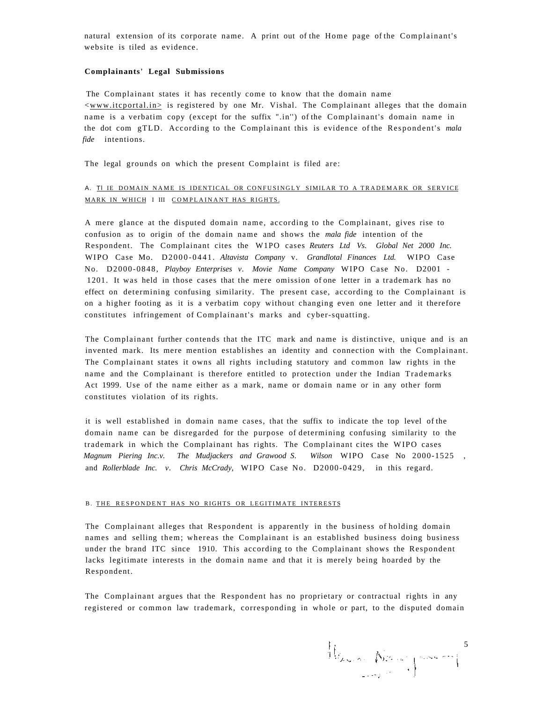natural extension of its corporate name. A print out of the Home page of the Complainant's website is tiled as evidence.

#### **Complainants' Legal Submissions**

The Complainant states it has recently come to know that the domain name  $\langle$ www.itcportal.in $\rangle$  is registered by one Mr. Vishal. The Complainant alleges that the domain name is a verbatim copy (except for the suffix ".in'') of the Complainant's domain name in the dot com gTLD. According to the Complainant this is evidence of the Respondent's *mala fide* intentions.

The legal grounds on which the present Complaint is filed are:

# A. TI IE DOMAIN NAME IS IDENTICAL OR CONFUSINGLY SIMILAR TO A TRADEMARK OR SERVICE MARK IN WHICH I III COMPLAINANT HAS RIGHTS.

A mere glance at the disputed domain name, according to the Complainant, gives rise to confusion as to origin of the domain name and shows the *mala fide* intention of the Respondent. The Complainant cites the W1PO cases *Reuters Ltd Vs. Global Net 2000 Inc.*  WIPO Case Mo. D2000-0441 . *Altavista Company* v. *Grandlotal Finances Ltd.* WIPO Case No. D2000-0848, *Playboy Enterprises v. Movie Name Company* WIPO Case No. D2001 - 1201. It was held in those cases that the mere omission of one letter in a trademark has no effect on determining confusing similarity. The present case, according to the Complainant is on a higher footing as it is a verbatim copy without changing even one letter and it therefore constitutes infringement of Complainant's marks and cyber-squatting.

The Complainant further contends that the ITC mark and name is distinctive, unique and is an invented mark. Its mere mention establishes an identity and connection with the Complainant. The Complainant states it owns all rights including statutory and common law rights in the name and the Complainant is therefore entitled to protection under the Indian Trademarks Act 1999. Use of the name either as a mark, name or domain name or in any other form constitutes violation of its rights.

it is well established in domain name cases, that the suffix to indicate the top level of the domain name can be disregarded for the purpose of determining confusing similarity to the trademark in which the Complainant has rights. The Complainant cites the WIPO cases *Magnum Piering Inc.v. The Mudjackers and Grawood S. Wilson* WIPO Case No 2000-1525 , and *Rollerblade Inc. v. Chris McCrady,* WIPO Case No. D2000-0429, in this regard.

#### B. THE RESPONDENT HAS NO RIGHTS OR LEGITIMATE INTERESTS

The Complainant alleges that Respondent is apparently in the business of holding domain names and selling them; whereas the Complainant is an established business doing business under the brand ITC since 1910. This according to the Complainant shows the Respondent lacks legitimate interests in the domain name and that it is merely being hoarded by the Respondent.

The Complainant argues that the Respondent has no proprietary or contractual rights in any registered or common law trademark, corresponding in whole or part, to the disputed domain

 $\left\|\int_{\mathbb{X}_{\infty}\times\mathbb{R}^{n}}\left|\int_{\mathbb{X}_{\infty}\times\mathbb{R}^{n}}\left|\int_{\mathbb{X}_{\infty}\times\mathbb{R}^{n}}\mathrm{d}x\right|^{2}dx\right\|^{2}dx\right\|^{2}$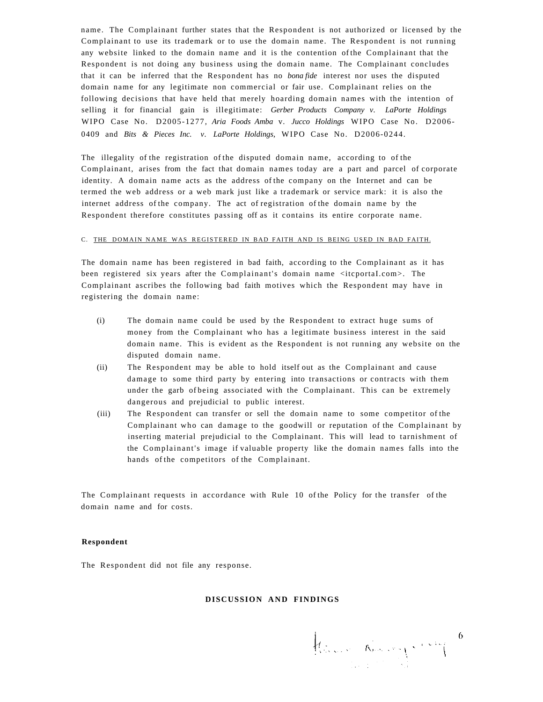name. The Complainant further states that the Respondent is not authorized or licensed by the Complainant to use its trademark or to use the domain name. The Respondent is not running any website linked to the domain name and it is the contention of the Complainant that the Respondent is not doing any business using the domain name. The Complainant concludes that it can be inferred that the Respondent has no *bona fide* interest nor uses the disputed domain name for any legitimate non commercial or fair use. Complainant relies on the following decisions that have held that merely hoarding domain names with the intention of selling it for financial gain is illegitimate: *Gerber Products Company v. LaPorte Holdings*  WIPO Case No. D2005-1277, *Aria Foods Amba* v. *Jucco Holdings* WIPO Case No. D2006- 0409 and *Bits & Pieces Inc. v. LaPorte Holdings,* WIPO Case No. D2006-0244.

The illegality of the registration of the disputed domain name, according to of the Complainant, arises from the fact that domain names today are a part and parcel of corporate identity. A domain name acts as the address of the company on the Internet and can be termed the web address or a web mark just like a trademark or service mark: it is also the internet address of the company. The act of registration of the domain name by the Respondent therefore constitutes passing off as it contains its entire corporate name.

## C. THE DOMAIN NAME WAS REGISTERED IN BAD FAITH AND IS BEING USED IN BAD FAITH.

The domain name has been registered in bad faith, according to the Complainant as it has been registered six years after the Complainant's domain name <itcportaI.com>. The Complainant ascribes the following bad faith motives which the Respondent may have in registering the domain name:

- (i) The domain name could be used by the Respondent to extract huge sums of money from the Complainant who has a legitimate business interest in the said domain name. This is evident as the Respondent is not running any website on the disputed domain name.
- (ii) The Respondent may be able to hold itself out as the Complainant and cause damage to some third party by entering into transactions or contracts with them under the garb of being associated with the Complainant. This can be extremely dangerous and prejudicial to public interest.
- (iii) The Respondent can transfer or sell the domain name to some competitor of the Complainant who can damage to the goodwill or reputation of the Complainant by inserting material prejudicial to the Complainant. This will lead to tarnishment of the Complainant's image if valuable property like the domain names falls into the hands of the competitors of the Complainant.

The Complainant requests in accordance with Rule 10 of the Policy for the transfer of the domain name and for costs.

#### **Respondent**

The Respondent did not file any response.

## **DISCUSSION AND FINDINGS**

 $\left\{ \begin{aligned} &\int_{\mathbb{R}^{2d}\times\mathbb{R}^{2d}\times\mathbb{R}^{2d}}\left|\int_{\mathbb{R}^{2d}\times\mathbb{R}^{2d}\times\mathbb{R}^{2d}}\left|\int_{\mathbb{R}^{2d}\times\mathbb{R}^{2d}\times\mathbb{R}^{2d}\right|\right|^{2d}\right\} &\leq\frac{1}{2d}\left\{ \begin{aligned} &\int_{\mathbb{R}^{2d}\times\mathbb{R}^{2d}\times\mathbb{R}^{2d}\times\mathbb{R}^{2d}\times\mathbb{R}^{2d}\times\mathbb{R}^{2d}\times$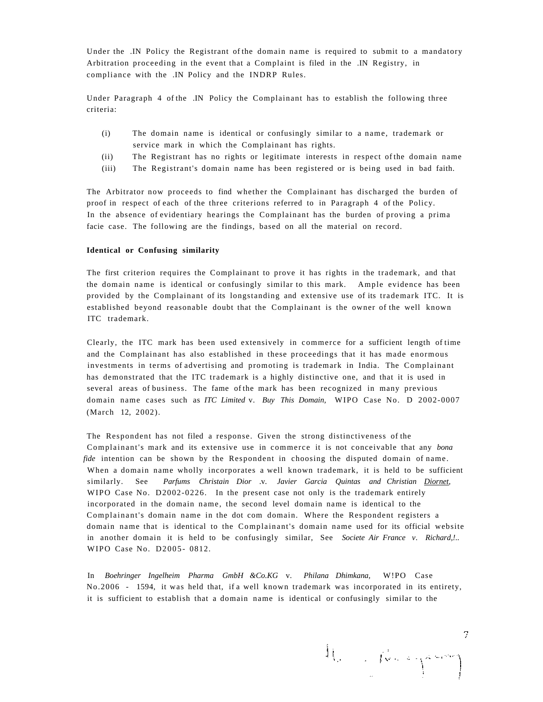Under the .IN Policy the Registrant of the domain name is required to submit to a mandatory Arbitration proceeding in the event that a Complaint is filed in the .IN Registry, in compliance with the .IN Policy and the INDRP Rules.

Under Paragraph 4 of the .IN Policy the Complainant has to establish the following three criteria:

- (i) The domain name is identical or confusingly similar to a name , trademark or service mark in which the Complainant has rights.
- (ii) The Registrant has no rights or legitimate interests in respect of the domain name
- (iii) The Registrant's domain name has been registered or is being used in bad faith.

The Arbitrator now proceeds to find whether the Complainant has discharged the burden of proof in respect of each of the three criterions referred to in Paragraph 4 of the Policy. In the absence of evidentiary hearings the Complainant has the burden of proving a prima facie case. The following are the findings, based on all the material on record.

#### **Identical or Confusing similarity**

The first criterion requires the Complainant to prove it has rights in the trademark, and that the domain name is identical or confusingly similar to this mark. Ample evidence has been provided by the Complainant of its longstanding and extensive use of its trademark ITC. It is established beyond reasonable doubt that the Complainant is the owner of the well known ITC trademark.

Clearly, the ITC mark has been used extensively in commerce for a sufficient length of time and the Complainant has also established in these proceedings that it has made enormous investments in terms of advertising and promoting is trademark in India. The Complainant has demonstrated that the ITC trademark is a highly distinctive one, and that it is used in several areas of business. The fame of the mark has been recognized in many previous domain name cases such as *ITC Limited* v. *Buy This Domain,* WIPO Case No. D 2002-0007 (March 12, 2002).

The Respondent has not filed a response. Given the strong distinctiveness of the Complainant's mark and its extensive use in commerc e it is not conceivable that any *bona fide* intention can be shown by the Respondent in choosing the disputed domain of name. When a domain name wholly incorporates a well known trademark, it is held to be sufficient similarly. See *Parfums Christain Dior* .v. *Javier Garcia Quintas and Christian [Diornet,](http://Dior.net)*  WIPO Case No. D2002-0226. In the present case not only is the trademark entirely incorporated in the domain name, the second level domain name is identical to the Complainant's domain name in the dot com domain. Where the Respondent registers a domain name that is identical to the Complainant's domain name used for its official website in another domain it is held to be confusingly similar, See *Societe Air France v. Richard,!..*  WIPO Case No. D2005- 0812.

In *Boehringer Ingelheim Pharma GmbH &Co.KG* v. *Philana Dhimkana,* W!PO Case No.2006 - 1594, it was held that, if a well known trademark was incorporated in its entirety, it is sufficient to establish that a domain name is identical or confusingly similar to the

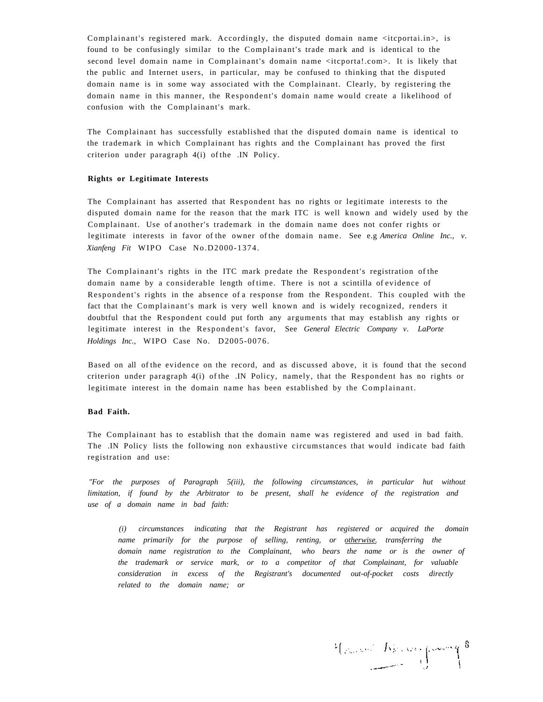Complainant's registered mark. Accordingly, the disputed domain name <itcportai.in>, is found to be confusingly similar to the Complainant's trade mark and is identical to the second level domain name in Complainant's domain name <itcporta!.com>. It is likely that the public and Internet users, in particular, may be confused to thinking that the disputed domain name is in some way associated with the Complainant. Clearly, by registering the domain name in this manner, the Respondent's domain name would create a likelihood of confusion with the Complainant's mark.

The Complainant has successfully established that the disputed domain name is identical to the trademark in which Complainant has rights and the Complainant has proved the first criterion under paragraph 4(i) of the .IN Policy.

#### **Rights or Legitimate Interests**

The Complainant has asserted that Respondent has no rights or legitimate interests to the disputed domain name for the reason that the mark ITC is well known and widely used by the Complainant. Use of another's trademark in the domain name does not confer rights or legitimate interests in favor of the owner of the domain name. See e.g *America Online Inc., v. Xianfeng Fit* WIPO Case No.D2000-1374.

The Complainant's rights in the ITC mark predate the Respondent's registration of the domain name by a considerable length of time. There is not a scintilla of evidence of Respondent's rights in the absence of a response from the Respondent. This coupled with the fact that the Complainant's mark is very well known and is widely recognized, renders it doubtful that the Respondent could put forth any arguments that may establish any rights or legitimate interest in the Respondent's favor, See *General Electric Company v. LaPorte Holdings Inc.,* WIPO Case No. D2005-0076.

Based on all of the evidence on the record, and as discussed above, it is found that the second criterion under paragraph 4(i) of the .IN Policy, namely, that the Respondent has no rights or legitimate interest in the domain name has been established by the Complainant.

#### **Bad Faith.**

The Complainant has to establish that the domain name was registered and used in bad faith. The .IN Policy lists the following non exhaustive circumstances that would indicate bad faith registration and use:

*"For the purposes of Paragraph 5(iii), the following circumstances, in particular hut without limitation, if found by the Arbitrator to be present, shall he evidence of the registration and use of a domain name in bad faith:* 

*(i) circumstances indicating that the Registrant has registered or acquired the domain name primarily for the purpose of selling, renting, or [otherwise. t](http://othei-wi.se)ransferring the domain name registration to the Complainant, who bears the name or is the owner of the trademark or service mark, or to a competitor of that Complainant, for valuable consideration in excess of the Registrant's documented out-of-pocket costs directly related to the domain name; or* 

 $\frac{\mu_{\text{max}}}{\sqrt{2\pi}}\int_{0}^{\infty}\frac{1}{\sqrt{2\pi}}\int_{0}^{\infty}\frac{1}{\sqrt{2\pi}}\int_{0}^{\infty}\frac{1}{\sqrt{2\pi}}\int_{0}^{\infty}\frac{1}{\sqrt{2\pi}}\frac{1}{\sqrt{2\pi}}\int_{0}^{\infty}\frac{1}{\sqrt{2\pi}}\frac{1}{\sqrt{2\pi}}\int_{0}^{\infty}\frac{1}{\sqrt{2\pi}}\frac{1}{\sqrt{2\pi}}\int_{0}^{\infty}\frac{1}{\sqrt{2\pi}}\frac{1}{\sqrt{2\pi}}\int_{0}^{\$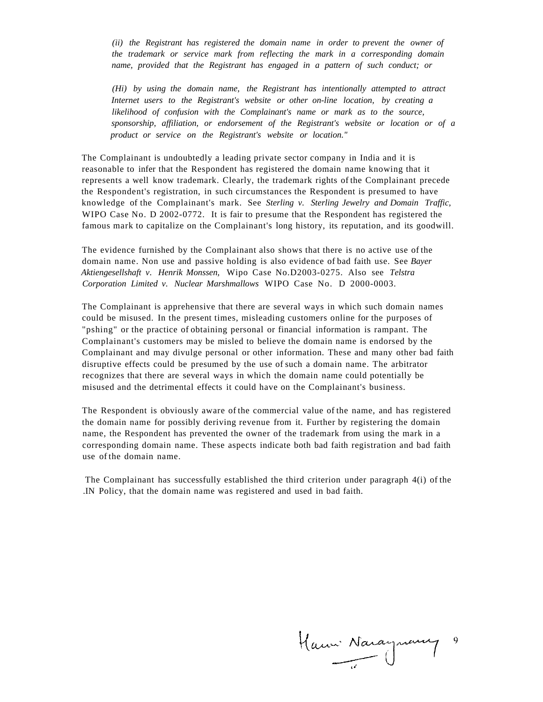*(ii) the Registrant has registered the domain name in order to prevent the owner of the trademark or service mark from reflecting the mark in a corresponding domain name, provided that the Registrant has engaged in a pattern of such conduct; or* 

*(Hi) by using the domain name, the Registrant has intentionally attempted to attract Internet users to the Registrant's website or other on-line location, by creating a likelihood of confusion with the Complainant's name or mark as to the source, sponsorship, affiliation, or endorsement of the Registrant's website or location or of a product or service on the Registrant's website or location."* 

The Complainant is undoubtedly a leading private sector company in India and it is reasonable to infer that the Respondent has registered the domain name knowing that it represents a well know trademark. Clearly, the trademark rights of the Complainant precede the Respondent's registration, in such circumstances the Respondent is presumed to have knowledge of the Complainant's mark. See *Sterling v. Sterling Jewelry and Domain Traffic*, WIPO Case No. D 2002-0772. It is fair to presume that the Respondent has registered the famous mark to capitalize on the Complainant's long history, its reputation, and its goodwill.

The evidence furnished by the Complainant also shows that there is no active use of the domain name. Non use and passive holding is also evidence of bad faith use. See *Bayer Aktiengesellshaft v. Henrik Monssen,* Wipo Case No.D2003-0275. Also see *Telstra Corporation Limited v. Nuclear Marshmallows* WIPO Case No. D 2000-0003.

The Complainant is apprehensive that there are several ways in which such domain names could be misused. In the present times, misleading customers online for the purposes of "pshing" or the practice of obtaining personal or financial information is rampant. The Complainant's customers may be misled to believe the domain name is endorsed by the Complainant and may divulge personal or other information. These and many other bad faith disruptive effects could be presumed by the use of such a domain name. The arbitrator recognizes that there are several ways in which the domain name could potentially be misused and the detrimental effects it could have on the Complainant's business.

The Respondent is obviously aware of the commercial value of the name, and has registered the domain name for possibly deriving revenue from it. Further by registering the domain name, the Respondent has prevented the owner of the trademark from using the mark in a corresponding domain name. These aspects indicate both bad faith registration and bad faith use of the domain name.

The Complainant has successfully established the third criterion under paragraph 4(i) of the .IN Policy, that the domain name was registered and used in bad faith.

Hanni Naraynamy